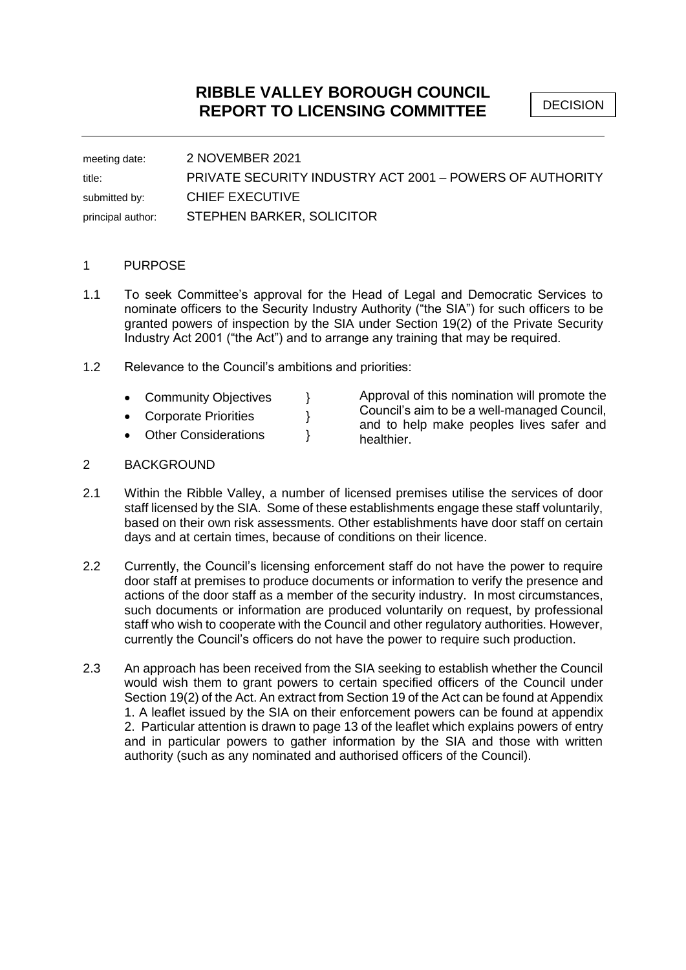DECISION

meeting date: 2 NOVEMBER 2021 title: PRIVATE SECURITY INDUSTRY ACT 2001 – POWERS OF AUTHORITY submitted by: CHIEF EXECUTIVE principal author: STEPHEN BARKER, SOLICITOR

## 1 PURPOSE

- 1.1 To seek Committee's approval for the Head of Legal and Democratic Services to nominate officers to the Security Industry Authority ("the SIA") for such officers to be granted powers of inspection by the SIA under Section 19(2) of the Private Security Industry Act 2001 ("the Act") and to arrange any training that may be required.
- 1.2 Relevance to the Council's ambitions and priorities:
	- Community Objectives }
	- Corporate Priorities }
	- Other Considerations  $\}$

Approval of this nomination will promote the Council's aim to be a well-managed Council, and to help make peoples lives safer and healthier.

## 2 BACKGROUND

- 2.1 Within the Ribble Valley, a number of licensed premises utilise the services of door staff licensed by the SIA. Some of these establishments engage these staff voluntarily, based on their own risk assessments. Other establishments have door staff on certain days and at certain times, because of conditions on their licence.
- 2.2 Currently, the Council's licensing enforcement staff do not have the power to require door staff at premises to produce documents or information to verify the presence and actions of the door staff as a member of the security industry. In most circumstances, such documents or information are produced voluntarily on request, by professional staff who wish to cooperate with the Council and other regulatory authorities. However, currently the Council's officers do not have the power to require such production.
- 2.3 An approach has been received from the SIA seeking to establish whether the Council would wish them to grant powers to certain specified officers of the Council under Section 19(2) of the Act. An extract from Section 19 of the Act can be found at Appendix 1. A leaflet issued by the SIA on their enforcement powers can be found at appendix 2. Particular attention is drawn to page 13 of the leaflet which explains powers of entry and in particular powers to gather information by the SIA and those with written authority (such as any nominated and authorised officers of the Council).